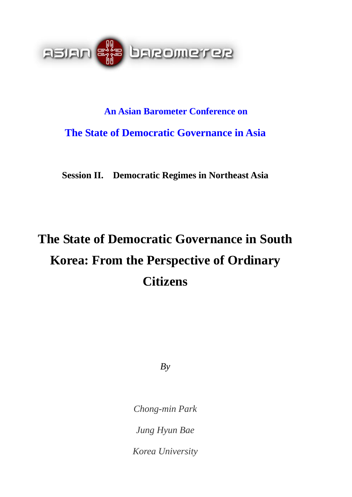

# **An Asian Barometer Conference on The State of Democratic Governance in Asia**

**Session II. Democratic Regimes in Northeast Asia** 

# **The State of Democratic Governance in South Korea: From the Perspective of Ordinary Citizens**

 $By$ 

*Chong-min Park* 

*Jung Hyun Bae* 

*Korea University*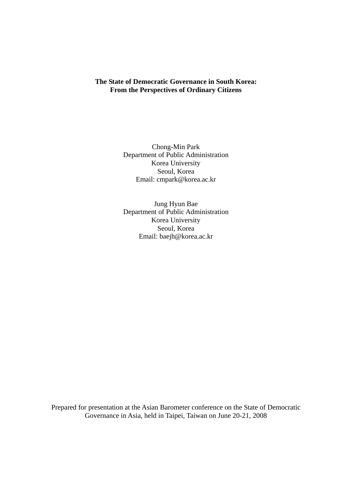# **The State of Democratic Governance in South Korea: From the Perspectives of Ordinary Citizens**

Chong-Min Park Department of Public Administration Korea University Seoul, Korea Email: [cmpark@korea.ac.kr](mailto:cmpark@korea.ac.kr)

Jung Hyun Bae Department of Public Administration Korea University Seoul, Korea Email: baejh@korea.ac.kr

Prepared for presentation at the Asian Barometer conference on the State of Democratic Governance in Asia, held in Taipei, Taiwan on June 20-21, 2008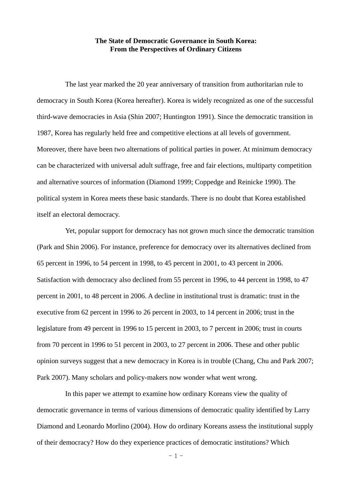#### **The State of Democratic Governance in South Korea: From the Perspectives of Ordinary Citizens**

The last year marked the 20 year anniversary of transition from authoritarian rule to democracy in South Korea (Korea hereafter). Korea is widely recognized as one of the successful third-wave democracies in Asia (Shin 2007; Huntington 1991). Since the democratic transition in 1987, Korea has regularly held free and competitive elections at all levels of government. Moreover, there have been two alternations of political parties in power. At minimum democracy can be characterized with universal adult suffrage, free and fair elections, multiparty competition and alternative sources of information (Diamond 1999; Coppedge and Reinicke 1990). The political system in Korea meets these basic standards. There is no doubt that Korea established itself an electoral democracy.

Yet, popular support for democracy has not grown much since the democratic transition (Park and Shin 2006). For instance, preference for democracy over its alternatives declined from 65 percent in 1996, to 54 percent in 1998, to 45 percent in 2001, to 43 percent in 2006. Satisfaction with democracy also declined from 55 percent in 1996, to 44 percent in 1998, to 47 percent in 2001, to 48 percent in 2006. A decline in institutional trust is dramatic: trust in the executive from 62 percent in 1996 to 26 percent in 2003, to 14 percent in 2006; trust in the legislature from 49 percent in 1996 to 15 percent in 2003, to 7 percent in 2006; trust in courts from 70 percent in 1996 to 51 percent in 2003, to 27 percent in 2006. These and other public opinion surveys suggest that a new democracy in Korea is in trouble (Chang, Chu and Park 2007; Park 2007). Many scholars and policy-makers now wonder what went wrong.

In this paper we attempt to examine how ordinary Koreans view the quality of democratic governance in terms of various dimensions of democratic quality identified by Larry Diamond and Leonardo Morlino (2004). How do ordinary Koreans assess the institutional supply of their democracy? How do they experience practices of democratic institutions? Which

 $-1 -$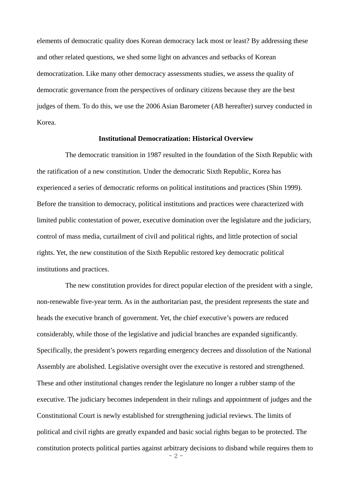elements of democratic quality does Korean democracy lack most or least? By addressing these and other related questions, we shed some light on advances and setbacks of Korean democratization. Like many other democracy assessments studies, we assess the quality of democratic governance from the perspectives of ordinary citizens because they are the best judges of them. To do this, we use the 2006 Asian Barometer (AB hereafter) survey conducted in Korea.

#### **Institutional Democratization: Historical Overview**

The democratic transition in 1987 resulted in the foundation of the Sixth Republic with the ratification of a new constitution. Under the democratic Sixth Republic, Korea has experienced a series of democratic reforms on political institutions and practices (Shin 1999). Before the transition to democracy, political institutions and practices were characterized with limited public contestation of power, executive domination over the legislature and the judiciary, control of mass media, curtailment of civil and political rights, and little protection of social rights. Yet, the new constitution of the Sixth Republic restored key democratic political institutions and practices.

The new constitution provides for direct popular election of the president with a single, non-renewable five-year term. As in the authoritarian past, the president represents the state and heads the executive branch of government. Yet, the chief executive's powers are reduced considerably, while those of the legislative and judicial branches are expanded significantly. Specifically, the president's powers regarding emergency decrees and dissolution of the National Assembly are abolished. Legislative oversight over the executive is restored and strengthened. These and other institutional changes render the legislature no longer a rubber stamp of the executive. The judiciary becomes independent in their rulings and appointment of judges and the Constitutional Court is newly established for strengthening judicial reviews. The limits of political and civil rights are greatly expanded and basic social rights began to be protected. The constitution protects political parties against arbitrary decisions to disband while requires them to

- 2 -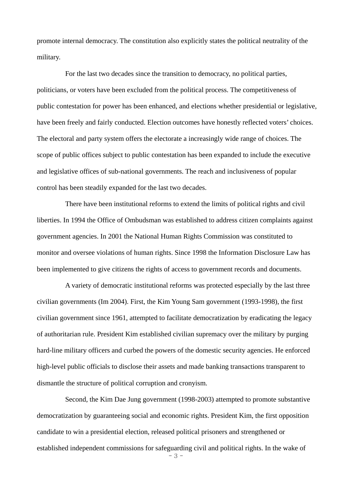promote internal democracy. The constitution also explicitly states the political neutrality of the military.

For the last two decades since the transition to democracy, no political parties, politicians, or voters have been excluded from the political process. The competitiveness of public contestation for power has been enhanced, and elections whether presidential or legislative, have been freely and fairly conducted. Election outcomes have honestly reflected voters' choices. The electoral and party system offers the electorate a increasingly wide range of choices. The scope of public offices subject to public contestation has been expanded to include the executive and legislative offices of sub-national governments. The reach and inclusiveness of popular control has been steadily expanded for the last two decades.

There have been institutional reforms to extend the limits of political rights and civil liberties. In 1994 the Office of Ombudsman was established to address citizen complaints against government agencies. In 2001 the National Human Rights Commission was constituted to monitor and oversee violations of human rights. Since 1998 the Information Disclosure Law has been implemented to give citizens the rights of access to government records and documents.

A variety of democratic institutional reforms was protected especially by the last three civilian governments (Im 2004). First, the Kim Young Sam government (1993-1998), the first civilian government since 1961, attempted to facilitate democratization by eradicating the legacy of authoritarian rule. President Kim established civilian supremacy over the military by purging hard-line military officers and curbed the powers of the domestic security agencies. He enforced high-level public officials to disclose their assets and made banking transactions transparent to dismantle the structure of political corruption and cronyism.

Second, the Kim Dae Jung government (1998-2003) attempted to promote substantive democratization by guaranteeing social and economic rights. President Kim, the first opposition candidate to win a presidential election, released political prisoners and strengthened or established independent commissions for safeguarding civil and political rights. In the wake of

- 3 -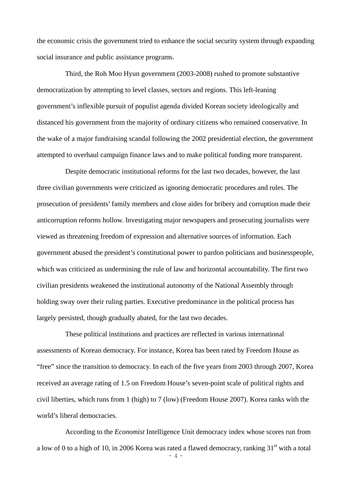the economic crisis the government tried to enhance the social security system through expanding social insurance and public assistance programs.

Third, the Roh Moo Hyun government (2003-2008) rushed to promote substantive democratization by attempting to level classes, sectors and regions. This left-leaning government's inflexible pursuit of populist agenda divided Korean society ideologically and distanced his government from the majority of ordinary citizens who remained conservative. In the wake of a major fundraising scandal following the 2002 presidential election, the government attempted to overhaul campaign finance laws and to make political funding more transparent.

Despite democratic institutional reforms for the last two decades, however, the last three civilian governments were criticized as ignoring democratic procedures and rules. The prosecution of presidents' family members and close aides for bribery and corruption made their anticorruption reforms hollow. Investigating major newspapers and prosecuting journalists were viewed as threatening freedom of expression and alternative sources of information. Each government abused the president's constitutional power to pardon politicians and businesspeople, which was criticized as undermining the rule of law and horizontal accountability. The first two civilian presidents weakened the institutional autonomy of the National Assembly through holding sway over their ruling parties. Executive predominance in the political process has largely persisted, though gradually abated, for the last two decades.

These political institutions and practices are reflected in various international assessments of Korean democracy. For instance, Korea has been rated by Freedom House as "free" since the transition to democracy. In each of the five years from 2003 through 2007, Korea received an average rating of 1.5 on Freedom House's seven-point scale of political rights and civil liberties, which runs from 1 (high) to 7 (low) (Freedom House 2007). Korea ranks with the world's liberal democracies.

According to the *Economist* Intelligence Unit democracy index whose scores run from a low of 0 to a high of 10, in 2006 Korea was rated a flawed democracy, ranking  $31<sup>st</sup>$  with a total

 $-4 -$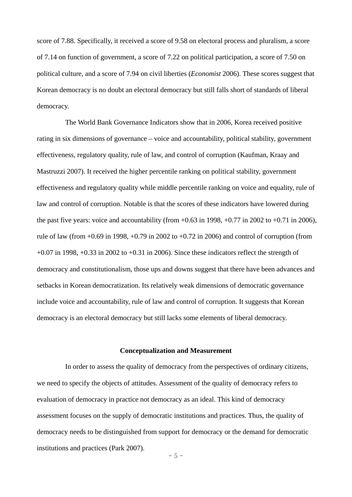score of 7.88. Specifically, it received a score of 9.58 on electoral process and pluralism, a score of 7.14 on function of government, a score of 7.22 on political participation, a score of 7.50 on political culture, and a score of 7.94 on civil liberties (*Economist* 2006). These scores suggest that Korean democracy is no doubt an electoral democracy but still falls short of standards of liberal democracy.

The World Bank Governance Indicators show that in 2006, Korea received positive rating in six dimensions of governance – voice and accountability, political stability, government effectiveness, regulatory quality, rule of law, and control of corruption (Kaufman, Kraay and Mastruzzi 2007). It received the higher percentile ranking on political stability, government effectiveness and regulatory quality while middle percentile ranking on voice and equality, rule of law and control of corruption. Notable is that the scores of these indicators have lowered during the past five years: voice and accountability (from  $+0.63$  in 1998,  $+0.77$  in 2002 to  $+0.71$  in 2006), rule of law (from  $+0.69$  in 1998,  $+0.79$  in 2002 to  $+0.72$  in 2006) and control of corruption (from  $+0.07$  in 1998,  $+0.33$  in 2002 to  $+0.31$  in 2006). Since these indicators reflect the strength of democracy and constitutionalism, those ups and downs suggest that there have been advances and setbacks in Korean democratization. Its relatively weak dimensions of democratic governance include voice and accountability, rule of law and control of corruption. It suggests that Korean democracy is an electoral democracy but still lacks some elements of liberal democracy.

#### **Conceptualization and Measurement**

In order to assess the quality of democracy from the perspectives of ordinary citizens, we need to specify the objects of attitudes. Assessment of the quality of democracy refers to evaluation of democracy in practice not democracy as an ideal. This kind of democracy assessment focuses on the supply of democratic institutions and practices. Thus, the quality of democracy needs to be distinguished from support for democracy or the demand for democratic institutions and practices (Park 2007).

 $-5 -$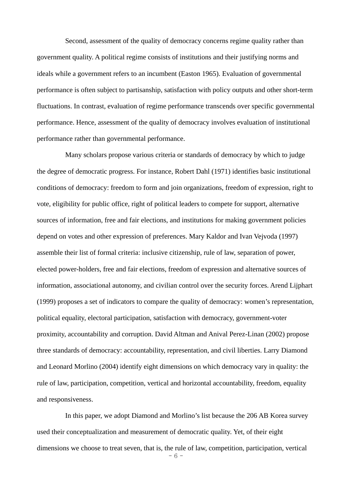Second, assessment of the quality of democracy concerns regime quality rather than government quality. A political regime consists of institutions and their justifying norms and ideals while a government refers to an incumbent (Easton 1965). Evaluation of governmental performance is often subject to partisanship, satisfaction with policy outputs and other short-term fluctuations. In contrast, evaluation of regime performance transcends over specific governmental performance. Hence, assessment of the quality of democracy involves evaluation of institutional performance rather than governmental performance.

Many scholars propose various criteria or standards of democracy by which to judge the degree of democratic progress. For instance, Robert Dahl (1971) identifies basic institutional conditions of democracy: freedom to form and join organizations, freedom of expression, right to vote, eligibility for public office, right of political leaders to compete for support, alternative sources of information, free and fair elections, and institutions for making government policies depend on votes and other expression of preferences. Mary Kaldor and Ivan Vejvoda (1997) assemble their list of formal criteria: inclusive citizenship, rule of law, separation of power, elected power-holders, free and fair elections, freedom of expression and alternative sources of information, associational autonomy, and civilian control over the security forces. Arend Lijphart (1999) proposes a set of indicators to compare the quality of democracy: women's representation, political equality, electoral participation, satisfaction with democracy, government-voter proximity, accountability and corruption. David Altman and Anival Perez-Linan (2002) propose three standards of democracy: accountability, representation, and civil liberties. Larry Diamond and Leonard Morlino (2004) identify eight dimensions on which democracy vary in quality: the rule of law, participation, competition, vertical and horizontal accountability, freedom, equality and responsiveness.

In this paper, we adopt Diamond and Morlino's list because the 206 AB Korea survey used their conceptualization and measurement of democratic quality. Yet, of their eight dimensions we choose to treat seven, that is, the rule of law, competition, participation, vertical

- 6 -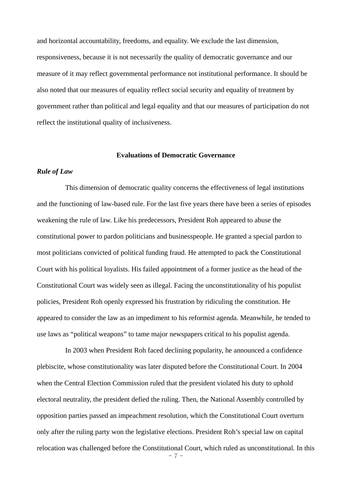and horizontal accountability, freedoms, and equality. We exclude the last dimension, responsiveness, because it is not necessarily the quality of democratic governance and our measure of it may reflect governmental performance not institutional performance. It should be also noted that our measures of equality reflect social security and equality of treatment by government rather than political and legal equality and that our measures of participation do not reflect the institutional quality of inclusiveness.

#### **Evaluations of Democratic Governance**

## *Rule of Law*

This dimension of democratic quality concerns the effectiveness of legal institutions and the functioning of law-based rule. For the last five years there have been a series of episodes weakening the rule of law. Like his predecessors, President Roh appeared to abuse the constitutional power to pardon politicians and businesspeople. He granted a special pardon to most politicians convicted of political funding fraud. He attempted to pack the Constitutional Court with his political loyalists. His failed appointment of a former justice as the head of the Constitutional Court was widely seen as illegal. Facing the unconstitutionality of his populist policies, President Roh openly expressed his frustration by ridiculing the constitution. He appeared to consider the law as an impediment to his reformist agenda. Meanwhile, he tended to use laws as "political weapons" to tame major newspapers critical to his populist agenda.

In 2003 when President Roh faced declining popularity, he announced a confidence plebiscite, whose constitutionality was later disputed before the Constitutional Court. In 2004 when the Central Election Commission ruled that the president violated his duty to uphold electoral neutrality, the president defied the ruling. Then, the National Assembly controlled by opposition parties passed an impeachment resolution, which the Constitutional Court overturn only after the ruling party won the legislative elections. President Roh's special law on capital relocation was challenged before the Constitutional Court, which ruled as unconstitutional. In this

- 7 -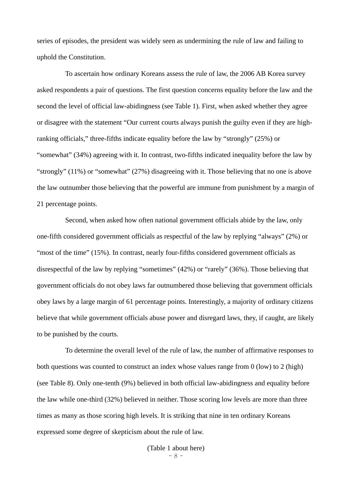series of episodes, the president was widely seen as undermining the rule of law and failing to uphold the Constitution.

To ascertain how ordinary Koreans assess the rule of law, the 2006 AB Korea survey asked respondents a pair of questions. The first question concerns equality before the law and the second the level of official law-abidingness (see Table 1). First, when asked whether they agree or disagree with the statement "Our current courts always punish the guilty even if they are highranking officials," three-fifths indicate equality before the law by "strongly" (25%) or "somewhat" (34%) agreeing with it. In contrast, two-fifths indicated inequality before the law by "strongly" (11%) or "somewhat" (27%) disagreeing with it. Those believing that no one is above the law outnumber those believing that the powerful are immune from punishment by a margin of 21 percentage points.

Second, when asked how often national government officials abide by the law, only one-fifth considered government officials as respectful of the law by replying "always" (2%) or "most of the time" (15%). In contrast, nearly four-fifths considered government officials as disrespectful of the law by replying "sometimes" (42%) or "rarely" (36%). Those believing that government officials do not obey laws far outnumbered those believing that government officials obey laws by a large margin of 61 percentage points. Interestingly, a majority of ordinary citizens believe that while government officials abuse power and disregard laws, they, if caught, are likely to be punished by the courts.

To determine the overall level of the rule of law, the number of affirmative responses to both questions was counted to construct an index whose values range from 0 (low) to 2 (high) (see Table 8). Only one-tenth (9%) believed in both official law-abidingness and equality before the law while one-third (32%) believed in neither. Those scoring low levels are more than three times as many as those scoring high levels. It is striking that nine in ten ordinary Koreans expressed some degree of skepticism about the rule of law.

> - 8 - (Table 1 about here)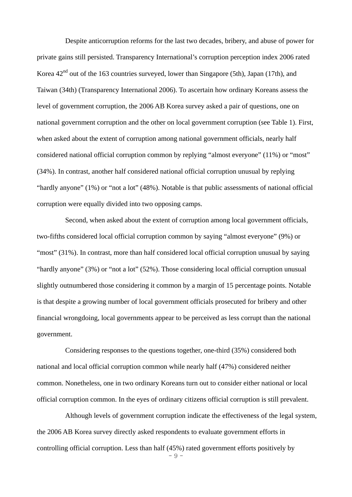Despite anticorruption reforms for the last two decades, bribery, and abuse of power for private gains still persisted. Transparency International's corruption perception index 2006 rated Korea  $42<sup>nd</sup>$  out of the 163 countries surveyed, lower than Singapore (5th), Japan (17th), and Taiwan (34th) (Transparency International 2006). To ascertain how ordinary Koreans assess the level of government corruption, the 2006 AB Korea survey asked a pair of questions, one on national government corruption and the other on local government corruption (see Table 1). First, when asked about the extent of corruption among national government officials, nearly half considered national official corruption common by replying "almost everyone" (11%) or "most" (34%). In contrast, another half considered national official corruption unusual by replying "hardly anyone" (1%) or "not a lot" (48%). Notable is that public assessments of national official corruption were equally divided into two opposing camps.

Second, when asked about the extent of corruption among local government officials, two-fifths considered local official corruption common by saying "almost everyone" (9%) or "most" (31%). In contrast, more than half considered local official corruption unusual by saying "hardly anyone" (3%) or "not a lot" (52%). Those considering local official corruption unusual slightly outnumbered those considering it common by a margin of 15 percentage points. Notable is that despite a growing number of local government officials prosecuted for bribery and other financial wrongdoing, local governments appear to be perceived as less corrupt than the national government.

Considering responses to the questions together, one-third (35%) considered both national and local official corruption common while nearly half (47%) considered neither common. Nonetheless, one in two ordinary Koreans turn out to consider either national or local official corruption common. In the eyes of ordinary citizens official corruption is still prevalent.

- 9 - Although levels of government corruption indicate the effectiveness of the legal system, the 2006 AB Korea survey directly asked respondents to evaluate government efforts in controlling official corruption. Less than half (45%) rated government efforts positively by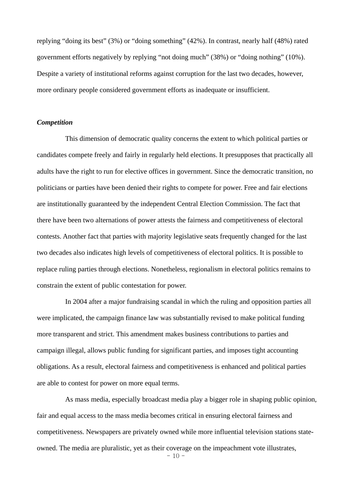replying "doing its best" (3%) or "doing something" (42%). In contrast, nearly half (48%) rated government efforts negatively by replying "not doing much" (38%) or "doing nothing" (10%). Despite a variety of institutional reforms against corruption for the last two decades, however, more ordinary people considered government efforts as inadequate or insufficient.

## *Competition*

This dimension of democratic quality concerns the extent to which political parties or candidates compete freely and fairly in regularly held elections. It presupposes that practically all adults have the right to run for elective offices in government. Since the democratic transition, no politicians or parties have been denied their rights to compete for power. Free and fair elections are institutionally guaranteed by the independent Central Election Commission. The fact that there have been two alternations of power attests the fairness and competitiveness of electoral contests. Another fact that parties with majority legislative seats frequently changed for the last two decades also indicates high levels of competitiveness of electoral politics. It is possible to replace ruling parties through elections. Nonetheless, regionalism in electoral politics remains to constrain the extent of public contestation for power.

In 2004 after a major fundraising scandal in which the ruling and opposition parties all were implicated, the campaign finance law was substantially revised to make political funding more transparent and strict. This amendment makes business contributions to parties and campaign illegal, allows public funding for significant parties, and imposes tight accounting obligations. As a result, electoral fairness and competitiveness is enhanced and political parties are able to contest for power on more equal terms.

As mass media, especially broadcast media play a bigger role in shaping public opinion, fair and equal access to the mass media becomes critical in ensuring electoral fairness and competitiveness. Newspapers are privately owned while more influential television stations stateowned. The media are pluralistic, yet as their coverage on the impeachment vote illustrates,

 $-10$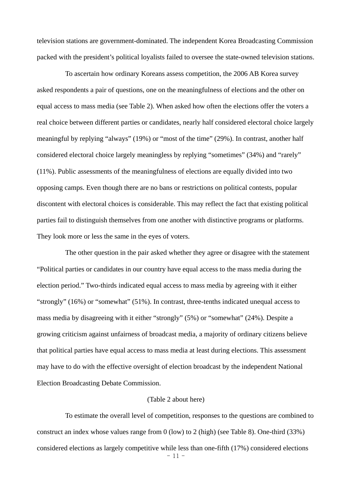television stations are government-dominated. The independent Korea Broadcasting Commission packed with the president's political loyalists failed to oversee the state-owned television stations.

To ascertain how ordinary Koreans assess competition, the 2006 AB Korea survey asked respondents a pair of questions, one on the meaningfulness of elections and the other on equal access to mass media (see Table 2). When asked how often the elections offer the voters a real choice between different parties or candidates, nearly half considered electoral choice largely meaningful by replying "always" (19%) or "most of the time" (29%). In contrast, another half considered electoral choice largely meaningless by replying "sometimes" (34%) and "rarely" (11%). Public assessments of the meaningfulness of elections are equally divided into two opposing camps. Even though there are no bans or restrictions on political contests, popular discontent with electoral choices is considerable. This may reflect the fact that existing political parties fail to distinguish themselves from one another with distinctive programs or platforms. They look more or less the same in the eyes of voters.

The other question in the pair asked whether they agree or disagree with the statement "Political parties or candidates in our country have equal access to the mass media during the election period." Two-thirds indicated equal access to mass media by agreeing with it either "strongly" (16%) or "somewhat" (51%). In contrast, three-tenths indicated unequal access to mass media by disagreeing with it either "strongly" (5%) or "somewhat" (24%). Despite a growing criticism against unfairness of broadcast media, a majority of ordinary citizens believe that political parties have equal access to mass media at least during elections. This assessment may have to do with the effective oversight of election broadcast by the independent National Election Broadcasting Debate Commission.

#### (Table 2 about here)

 $-11 -$ To estimate the overall level of competition, responses to the questions are combined to construct an index whose values range from 0 (low) to 2 (high) (see Table 8). One-third (33%) considered elections as largely competitive while less than one-fifth (17%) considered elections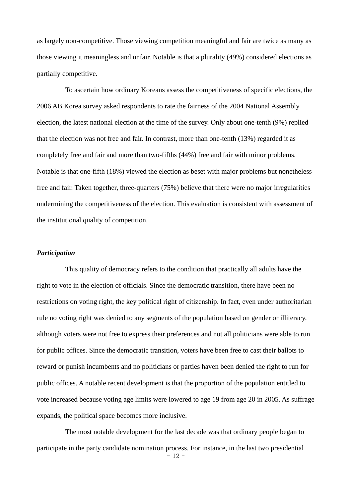as largely non-competitive. Those viewing competition meaningful and fair are twice as many as those viewing it meaningless and unfair. Notable is that a plurality (49%) considered elections as partially competitive.

To ascertain how ordinary Koreans assess the competitiveness of specific elections, the 2006 AB Korea survey asked respondents to rate the fairness of the 2004 National Assembly election, the latest national election at the time of the survey. Only about one-tenth (9%) replied that the election was not free and fair. In contrast, more than one-tenth (13%) regarded it as completely free and fair and more than two-fifths (44%) free and fair with minor problems. Notable is that one-fifth (18%) viewed the election as beset with major problems but nonetheless free and fair. Taken together, three-quarters (75%) believe that there were no major irregularities undermining the competitiveness of the election. This evaluation is consistent with assessment of the institutional quality of competition.

# *Participation*

This quality of democracy refers to the condition that practically all adults have the right to vote in the election of officials. Since the democratic transition, there have been no restrictions on voting right, the key political right of citizenship. In fact, even under authoritarian rule no voting right was denied to any segments of the population based on gender or illiteracy, although voters were not free to express their preferences and not all politicians were able to run for public offices. Since the democratic transition, voters have been free to cast their ballots to reward or punish incumbents and no politicians or parties haven been denied the right to run for public offices. A notable recent development is that the proportion of the population entitled to vote increased because voting age limits were lowered to age 19 from age 20 in 2005. As suffrage expands, the political space becomes more inclusive.

 $-12 -$ The most notable development for the last decade was that ordinary people began to participate in the party candidate nomination process. For instance, in the last two presidential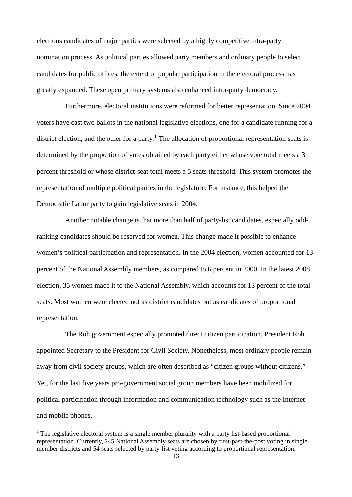elections candidates of major parties were selected by a highly competitive intra-party nomination process. As political parties allowed party members and ordinary people to select candidates for public offices, the extent of popular participation in the electoral process has greatly expanded. These open primary systems also enhanced intra-party democracy.

Furthermore, electoral institutions were reformed for better representation. Since 2004 voters have cast two ballots in the national legislative elections, one for a candidate running for a district election, and the other for a party.<sup>[1](#page-14-0)</sup> The allocation of proportional representation seats is determined by the proportion of votes obtained by each party either whose vote total meets a 3 percent threshold or whose district-seat total meets a 5 seats threshold. This system promotes the representation of multiple political parties in the legislature. For instance, this helped the Democratic Labor party to gain legislative seats in 2004.

Another notable change is that more than half of party-list candidates, especially oddranking candidates should be reserved for women. This change made it possible to enhance women's political participation and representation. In the 2004 election, women accounted for 13 percent of the National Assembly members, as compared to 6 percent in 2000. In the latest 2008 election, 35 women made it to the National Assembly, which accounts for 13 percent of the total seats. Most women were elected not as district candidates but as candidates of proportional representation.

The Roh government especially promoted direct citizen participation. President Roh appointed Secretary to the President for Civil Society. Nonetheless, most ordinary people remain away from civil society groups, which are often described as "citizen groups without citizens." Yet, for the last five years pro-government social group members have been mobilized for political participation through information and communication technology such as the Internet and mobile phones.

l

<span id="page-14-0"></span><sup>&</sup>lt;sup>1</sup> The legislative electoral system is a single member plurality with a party list-based proportional representation. Currently, 245 National Assembly seats are chosen by first-past-the-post voting in singlemember districts and 54 seats selected by party-list voting according to proportional representation.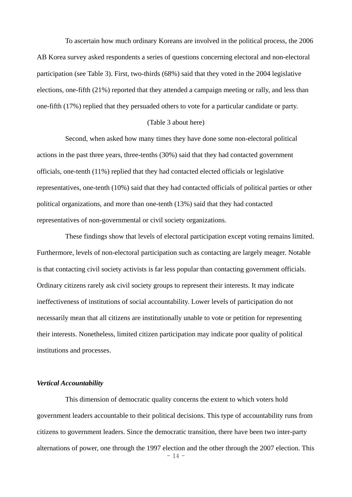To ascertain how much ordinary Koreans are involved in the political process, the 2006 AB Korea survey asked respondents a series of questions concerning electoral and non-electoral participation (see Table 3). First, two-thirds (68%) said that they voted in the 2004 legislative elections, one-fifth (21%) reported that they attended a campaign meeting or rally, and less than one-fifth (17%) replied that they persuaded others to vote for a particular candidate or party.

#### (Table 3 about here)

Second, when asked how many times they have done some non-electoral political actions in the past three years, three-tenths (30%) said that they had contacted government officials, one-tenth (11%) replied that they had contacted elected officials or legislative representatives, one-tenth (10%) said that they had contacted officials of political parties or other political organizations, and more than one-tenth (13%) said that they had contacted representatives of non-governmental or civil society organizations.

These findings show that levels of electoral participation except voting remains limited. Furthermore, levels of non-electoral participation such as contacting are largely meager. Notable is that contacting civil society activists is far less popular than contacting government officials. Ordinary citizens rarely ask civil society groups to represent their interests. It may indicate ineffectiveness of institutions of social accountability. Lower levels of participation do not necessarily mean that all citizens are institutionally unable to vote or petition for representing their interests. Nonetheless, limited citizen participation may indicate poor quality of political institutions and processes.

#### *Vertical Accountability*

This dimension of democratic quality concerns the extent to which voters hold government leaders accountable to their political decisions. This type of accountability runs from citizens to government leaders. Since the democratic transition, there have been two inter-party alternations of power, one through the 1997 election and the other through the 2007 election. This

 $-14 -$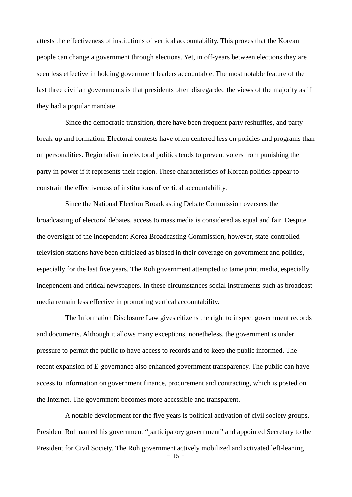attests the effectiveness of institutions of vertical accountability. This proves that the Korean people can change a government through elections. Yet, in off-years between elections they are seen less effective in holding government leaders accountable. The most notable feature of the last three civilian governments is that presidents often disregarded the views of the majority as if they had a popular mandate.

Since the democratic transition, there have been frequent party reshuffles, and party break-up and formation. Electoral contests have often centered less on policies and programs than on personalities. Regionalism in electoral politics tends to prevent voters from punishing the party in power if it represents their region. These characteristics of Korean politics appear to constrain the effectiveness of institutions of vertical accountability.

Since the National Election Broadcasting Debate Commission oversees the broadcasting of electoral debates, access to mass media is considered as equal and fair. Despite the oversight of the independent Korea Broadcasting Commission, however, state-controlled television stations have been criticized as biased in their coverage on government and politics, especially for the last five years. The Roh government attempted to tame print media, especially independent and critical newspapers. In these circumstances social instruments such as broadcast media remain less effective in promoting vertical accountability.

The Information Disclosure Law gives citizens the right to inspect government records and documents. Although it allows many exceptions, nonetheless, the government is under pressure to permit the public to have access to records and to keep the public informed. The recent expansion of E-governance also enhanced government transparency. The public can have access to information on government finance, procurement and contracting, which is posted on the Internet. The government becomes more accessible and transparent.

 $-15$ A notable development for the five years is political activation of civil society groups. President Roh named his government "participatory government" and appointed Secretary to the President for Civil Society. The Roh government actively mobilized and activated left-leaning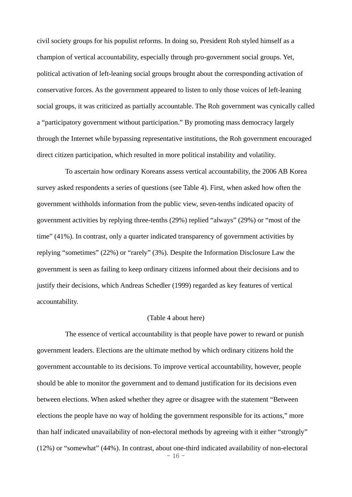civil society groups for his populist reforms. In doing so, President Roh styled himself as a champion of vertical accountability, especially through pro-government social groups. Yet, political activation of left-leaning social groups brought about the corresponding activation of conservative forces. As the government appeared to listen to only those voices of left-leaning social groups, it was criticized as partially accountable. The Roh government was cynically called a "participatory government without participation." By promoting mass democracy largely through the Internet while bypassing representative institutions, the Roh government encouraged direct citizen participation, which resulted in more political instability and volatility.

To ascertain how ordinary Koreans assess vertical accountability, the 2006 AB Korea survey asked respondents a series of questions (see Table 4). First, when asked how often the government withholds information from the public view, seven-tenths indicated opacity of government activities by replying three-tenths (29%) replied "always" (29%) or "most of the time" (41%). In contrast, only a quarter indicated transparency of government activities by replying "sometimes" (22%) or "rarely" (3%). Despite the Information Disclosure Law the government is seen as failing to keep ordinary citizens informed about their decisions and to justify their decisions, which Andreas Schedler (1999) regarded as key features of vertical accountability.

#### (Table 4 about here)

The essence of vertical accountability is that people have power to reward or punish government leaders. Elections are the ultimate method by which ordinary citizens hold the government accountable to its decisions. To improve vertical accountability, however, people should be able to monitor the government and to demand justification for its decisions even between elections. When asked whether they agree or disagree with the statement "Between elections the people have no way of holding the government responsible for its actions," more than half indicated unavailability of non-electoral methods by agreeing with it either "strongly" (12%) or "somewhat" (44%). In contrast, about one-third indicated availability of non-electoral

 $-16 -$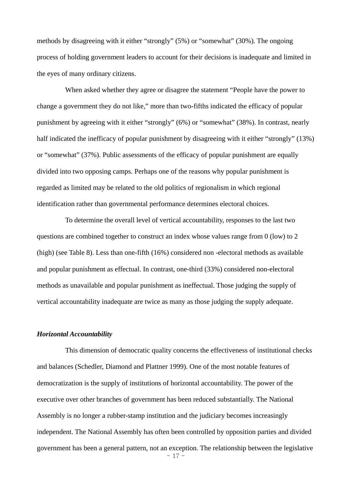methods by disagreeing with it either "strongly" (5%) or "somewhat" (30%). The ongoing process of holding government leaders to account for their decisions is inadequate and limited in the eyes of many ordinary citizens.

When asked whether they agree or disagree the statement "People have the power to change a government they do not like," more than two-fifths indicated the efficacy of popular punishment by agreeing with it either "strongly" (6%) or "somewhat" (38%). In contrast, nearly half indicated the inefficacy of popular punishment by disagreeing with it either "strongly" (13%) or "somewhat" (37%). Public assessments of the efficacy of popular punishment are equally divided into two opposing camps. Perhaps one of the reasons why popular punishment is regarded as limited may be related to the old politics of regionalism in which regional identification rather than governmental performance determines electoral choices.

To determine the overall level of vertical accountability, responses to the last two questions are combined together to construct an index whose values range from 0 (low) to 2 (high) (see Table 8). Less than one-fifth (16%) considered non -electoral methods as available and popular punishment as effectual. In contrast, one-third (33%) considered non-electoral methods as unavailable and popular punishment as ineffectual. Those judging the supply of vertical accountability inadequate are twice as many as those judging the supply adequate.

# *Horizontal Accountability*

 $-17$ This dimension of democratic quality concerns the effectiveness of institutional checks and balances (Schedler, Diamond and Plattner 1999). One of the most notable features of democratization is the supply of institutions of horizontal accountability. The power of the executive over other branches of government has been reduced substantially. The National Assembly is no longer a rubber-stamp institution and the judiciary becomes increasingly independent. The National Assembly has often been controlled by opposition parties and divided government has been a general pattern, not an exception. The relationship between the legislative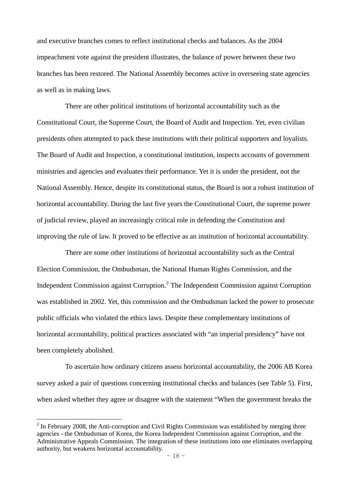and executive branches comes to reflect institutional checks and balances. As the 2004 impeachment vote against the president illustrates, the balance of power between these two branches has been restored. The National Assembly becomes active in overseeing state agencies as well as in making laws.

There are other political institutions of horizontal accountability such as the Constitutional Court, the Supreme Court, the Board of Audit and Inspection. Yet, even civilian presidents often attempted to pack these institutions with their political supporters and loyalists. The Board of Audit and Inspection, a constitutional institution, inspects accounts of government ministries and agencies and evaluates their performance. Yet it is under the president, not the National Assembly. Hence, despite its constitutional status, the Board is not a robust institution of horizontal accountability. During the last five years the Constitutional Court, the supreme power of judicial review, played an increasingly critical role in defending the Constitution and improving the rule of law. It proved to be effective as an institution of horizontal accountability.

There are some other institutions of horizontal accountability such as the Central Election Commission, the Ombudsman, the National Human Rights Commission, and the Independent Commission against Corruption. $<sup>2</sup>$  $<sup>2</sup>$  $<sup>2</sup>$  The Independent Commission against Corruption</sup> was established in 2002. Yet, this commission and the Ombudsman lacked the power to prosecute public officials who violated the ethics laws. Despite these complementary institutions of horizontal accountability, political practices associated with "an imperial presidency" have not been completely abolished.

To ascertain how ordinary citizens assess horizontal accountability, the 2006 AB Korea survey asked a pair of questions concerning institutional checks and balances (see Table 5). First, when asked whether they agree or disagree with the statement "When the government breaks the

 $\overline{a}$ 

<span id="page-19-0"></span> $2$  In February 2008, the Anti-corruption and Civil Rights Commission was established by merging three agencies - the Ombudsman of Korea, the Korea Independent Commission against Corruption, and the Administrative Appeals Commission. The integration of these institutions into one eliminates overlapping authority, but weakens horizontal accountability.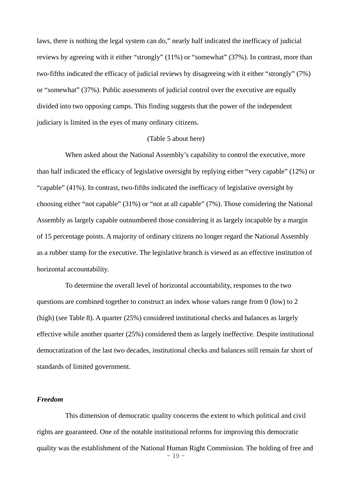laws, there is nothing the legal system can do," nearly half indicated the inefficacy of judicial reviews by agreeing with it either "strongly" (11%) or "somewhat" (37%). In contrast, more than two-fifths indicated the efficacy of judicial reviews by disagreeing with it either "strongly" (7%) or "somewhat" (37%). Public assessments of judicial control over the executive are equally divided into two opposing camps. This finding suggests that the power of the independent judiciary is limited in the eyes of many ordinary citizens.

# (Table 5 about here)

When asked about the National Assembly's capability to control the executive, more than half indicated the efficacy of legislative oversight by replying either "very capable" (12%) or "capable" (41%). In contrast, two-fifths indicated the inefficacy of legislative oversight by choosing either "not capable" (31%) or "not at all capable" (7%). Those considering the National Assembly as largely capable outnumbered those considering it as largely incapable by a margin of 15 percentage points. A majority of ordinary citizens no longer regard the National Assembly as a rubber stamp for the executive. The legislative branch is viewed as an effective institution of horizontal accountability.

To determine the overall level of horizontal accountability, responses to the two questions are combined together to construct an index whose values range from 0 (low) to 2 (high) (see Table 8). A quarter (25%) considered institutional checks and balances as largely effective while another quarter (25%) considered them as largely ineffective. Despite institutional democratization of the last two decades, institutional checks and balances still remain far short of standards of limited government.

## *Freedom*

 $-19 -$ This dimension of democratic quality concerns the extent to which political and civil rights are guaranteed. One of the notable institutional reforms for improving this democratic quality was the establishment of the National Human Right Commission. The holding of free and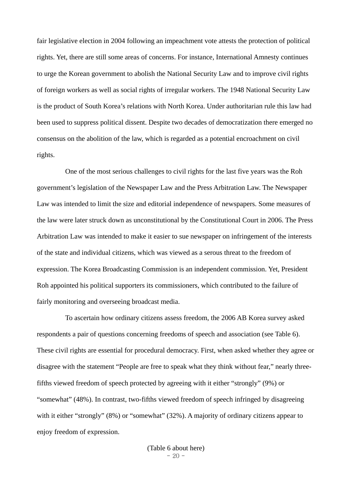fair legislative election in 2004 following an impeachment vote attests the protection of political rights. Yet, there are still some areas of concerns. For instance, International Amnesty continues to urge the Korean government to abolish the National Security Law and to improve civil rights of foreign workers as well as social rights of irregular workers. The 1948 National Security Law is the product of South Korea's relations with North Korea. Under authoritarian rule this law had been used to suppress political dissent. Despite two decades of democratization there emerged no consensus on the abolition of the law, which is regarded as a potential encroachment on civil rights.

One of the most serious challenges to civil rights for the last five years was the Roh government's legislation of the Newspaper Law and the Press Arbitration Law. The Newspaper Law was intended to limit the size and editorial independence of newspapers. Some measures of the law were later struck down as unconstitutional by the Constitutional Court in 2006. The Press Arbitration Law was intended to make it easier to sue newspaper on infringement of the interests of the state and individual citizens, which was viewed as a serous threat to the freedom of expression. The Korea Broadcasting Commission is an independent commission. Yet, President Roh appointed his political supporters its commissioners, which contributed to the failure of fairly monitoring and overseeing broadcast media.

To ascertain how ordinary citizens assess freedom, the 2006 AB Korea survey asked respondents a pair of questions concerning freedoms of speech and association (see Table 6). These civil rights are essential for procedural democracy. First, when asked whether they agree or disagree with the statement "People are free to speak what they think without fear," nearly threefifths viewed freedom of speech protected by agreeing with it either "strongly" (9%) or "somewhat" (48%). In contrast, two-fifths viewed freedom of speech infringed by disagreeing with it either "strongly" (8%) or "somewhat" (32%). A majority of ordinary citizens appear to enjoy freedom of expression.

> $-20 -$ (Table 6 about here)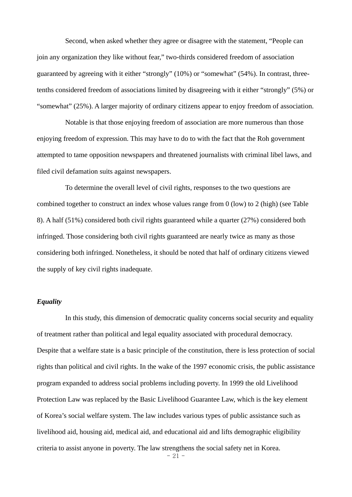Second, when asked whether they agree or disagree with the statement, "People can join any organization they like without fear," two-thirds considered freedom of association guaranteed by agreeing with it either "strongly" (10%) or "somewhat" (54%). In contrast, threetenths considered freedom of associations limited by disagreeing with it either "strongly" (5%) or "somewhat" (25%). A larger majority of ordinary citizens appear to enjoy freedom of association.

Notable is that those enjoying freedom of association are more numerous than those enjoying freedom of expression. This may have to do to with the fact that the Roh government attempted to tame opposition newspapers and threatened journalists with criminal libel laws, and filed civil defamation suits against newspapers.

To determine the overall level of civil rights, responses to the two questions are combined together to construct an index whose values range from 0 (low) to 2 (high) (see Table 8). A half (51%) considered both civil rights guaranteed while a quarter (27%) considered both infringed. Those considering both civil rights guaranteed are nearly twice as many as those considering both infringed. Nonetheless, it should be noted that half of ordinary citizens viewed the supply of key civil rights inadequate.

# *Equality*

In this study, this dimension of democratic quality concerns social security and equality of treatment rather than political and legal equality associated with procedural democracy. Despite that a welfare state is a basic principle of the constitution, there is less protection of social rights than political and civil rights. In the wake of the 1997 economic crisis, the public assistance program expanded to address social problems including poverty. In 1999 the old Livelihood Protection Law was replaced by the Basic Livelihood Guarantee Law, which is the key element of Korea's social welfare system. The law includes various types of public assistance such as livelihood aid, housing aid, medical aid, and educational aid and lifts demographic eligibility criteria to assist anyone in poverty. The law strengthens the social safety net in Korea.

 $-21 -$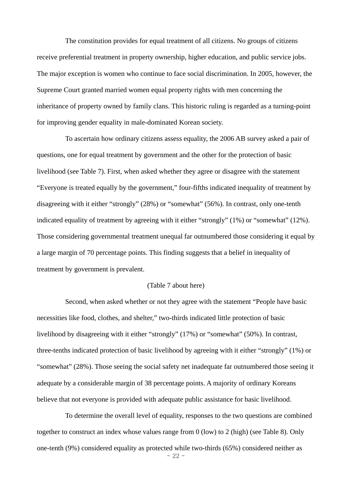The constitution provides for equal treatment of all citizens. No groups of citizens receive preferential treatment in property ownership, higher education, and public service jobs. The major exception is women who continue to face social discrimination. In 2005, however, the Supreme Court granted married women equal property rights with men concerning the inheritance of property owned by family clans. This historic ruling is regarded as a turning-point for improving gender equality in male-dominated Korean society.

To ascertain how ordinary citizens assess equality, the 2006 AB survey asked a pair of questions, one for equal treatment by government and the other for the protection of basic livelihood (see Table 7). First, when asked whether they agree or disagree with the statement "Everyone is treated equally by the government," four-fifths indicated inequality of treatment by disagreeing with it either "strongly" (28%) or "somewhat" (56%). In contrast, only one-tenth indicated equality of treatment by agreeing with it either "strongly" (1%) or "somewhat" (12%). Those considering governmental treatment unequal far outnumbered those considering it equal by a large margin of 70 percentage points. This finding suggests that a belief in inequality of treatment by government is prevalent.

#### (Table 7 about here)

Second, when asked whether or not they agree with the statement "People have basic necessities like food, clothes, and shelter," two-thirds indicated little protection of basic livelihood by disagreeing with it either "strongly" (17%) or "somewhat" (50%). In contrast, three-tenths indicated protection of basic livelihood by agreeing with it either "strongly" (1%) or "somewhat" (28%). Those seeing the social safety net inadequate far outnumbered those seeing it adequate by a considerable margin of 38 percentage points. A majority of ordinary Koreans believe that not everyone is provided with adequate public assistance for basic livelihood.

- 22 - To determine the overall level of equality, responses to the two questions are combined together to construct an index whose values range from 0 (low) to 2 (high) (see Table 8). Only one-tenth (9%) considered equality as protected while two-thirds (65%) considered neither as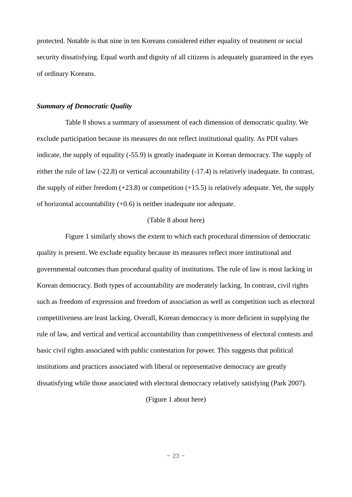protected. Notable is that nine in ten Koreans considered either equality of treatment or social security dissatisfying. Equal worth and dignity of all citizens is adequately guaranteed in the eyes of ordinary Koreans.

#### *Summary of Democratic Quality*

Table 8 shows a summary of assessment of each dimension of democratic quality. We exclude participation because its measures do not reflect institutional quality. As PDI values indicate, the supply of equality (-55.9) is greatly inadequate in Korean democracy. The supply of either the rule of law (-22.8) or vertical accountability (-17.4) is relatively inadequate. In contrast, the supply of either freedom  $(+23.8)$  or competition  $(+15.5)$  is relatively adequate. Yet, the supply of horizontal accountability (+0.6) is neither inadequate nor adequate.

#### (Table 8 about here)

Figure 1 similarly shows the extent to which each procedural dimension of democratic quality is present. We exclude equality because its measures reflect more institutional and governmental outcomes than procedural quality of institutions. The rule of law is most lacking in Korean democracy. Both types of accountability are moderately lacking. In contrast, civil rights such as freedom of expression and freedom of association as well as competition such as electoral competitiveness are least lacking. Overall, Korean democracy is more deficient in supplying the rule of law, and vertical and vertical accountability than competitiveness of electoral contests and basic civil rights associated with public contestation for power. This suggests that political institutions and practices associated with liberal or representative democracy are greatly dissatisfying while those associated with electoral democracy relatively satisfying (Park 2007).

# (Figure 1 about here)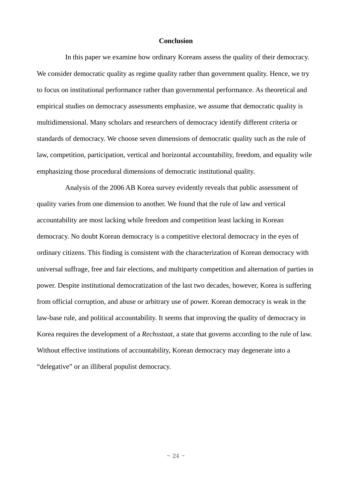#### **Conclusion**

In this paper we examine how ordinary Koreans assess the quality of their democracy. We consider democratic quality as regime quality rather than government quality. Hence, we try to focus on institutional performance rather than governmental performance. As theoretical and empirical studies on democracy assessments emphasize, we assume that democratic quality is multidimensional. Many scholars and researchers of democracy identify different criteria or standards of democracy. We choose seven dimensions of democratic quality such as the rule of law, competition, participation, vertical and horizontal accountability, freedom, and equality wile emphasizing those procedural dimensions of democratic institutional quality.

Analysis of the 2006 AB Korea survey evidently reveals that public assessment of quality varies from one dimension to another. We found that the rule of law and vertical accountability are most lacking while freedom and competition least lacking in Korean democracy. No doubt Korean democracy is a competitive electoral democracy in the eyes of ordinary citizens. This finding is consistent with the characterization of Korean democracy with universal suffrage, free and fair elections, and multiparty competition and alternation of parties in power. Despite institutional democratization of the last two decades, however, Korea is suffering from official corruption, and abuse or arbitrary use of power. Korean democracy is weak in the law-base rule, and political accountability. It seems that improving the quality of democracy in Korea requires the development of a *Rechsstaat*, a state that governs according to the rule of law. Without effective institutions of accountability, Korean democracy may degenerate into a "delegative" or an illiberal populist democracy.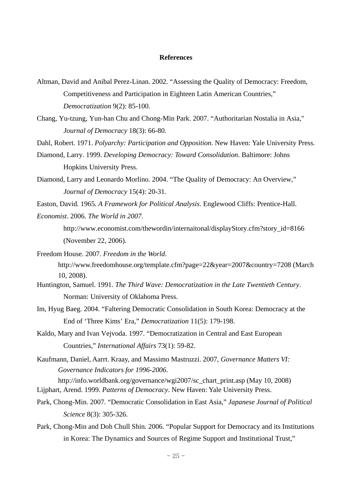## **References**

- Altman, David and Anibal Perez-Linan. 2002. "Assessing the Quality of Democracy: Freedom, Competitiveness and Participation in Eighteen Latin American Countries," *Democratization* 9(2): 85-100.
- Chang, Yu-tzung, Yun-han Chu and Chong-Min Park. 2007. "Authoritarian Nostalia in Asia," *Journal of Democracy* 18(3): 66-80.
- Dahl, Robert. 1971. *Polyarchy: Participation and Opposition*. New Haven: Yale University Press.
- Diamond, Larry. 1999. *Developing Democracy: Toward Consolidation*. Baltimore: Johns Hopkins University Press.
- Diamond, Larry and Leonardo Morlino. 2004. "The Quality of Democracy: An Overview," *Journal of Democracy* 15(4): 20-31.
- Easton, David. 1965. *A Framework for Political Analysis*. Englewood Cliffs: Prentice-Hall.
- *Economist*. 2006. *The World in 2007*.
	- http://www.economist.com/thewordin/internaitonal/displayStory.cfm?story\_id=8166 (November 22, 2006).
- Freedom House. 2007. *Freedom in the World*. <http://www.freedomhouse.org/template.cfm?page=22&year=2007&country=7208>(March 10, 2008).
- Huntington, Samuel. 1991. *The Third Wave: Democratization in the Late Twentieth Century*. Norman: University of Oklahoma Press.
- Im, Hyug Baeg. 2004. "Faltering Democratic Consolidation in South Korea: Democracy at the End of 'Three Kims' Era," *Democratization* 11(5): 179-198.
- Kaldo, Mary and Ivan Vejvoda. 1997. "Democratization in Central and East European Countries," *International Affairs* 73(1): 59-82.
- Kaufmann, Daniel, Aarrt. Kraay, and Massimo Mastruzzi. 2007, *Governance Matters VI: Governance Indicators for 1996-2006*.

[http://info.worldbank.org/governance/wgi2007/sc\\_chart\\_print.asp](http://info.worldbank.org/governance/wgi2007/sc_chart_print.asp) (May 10, 2008) Lijphart, Arend. 1999. *Patterns of Democracy*. New Haven: Yale University Press.

- Park, Chong-Min. 2007. "Democratic Consolidation in East Asia," *Japanese Journal of Political Science* 8(3): 305-326.
- Park, Chong-Min and Doh Chull Shin. 2006. "Popular Support for Democracy and its Institutions in Korea: The Dynamics and Sources of Regime Support and Institutional Trust,"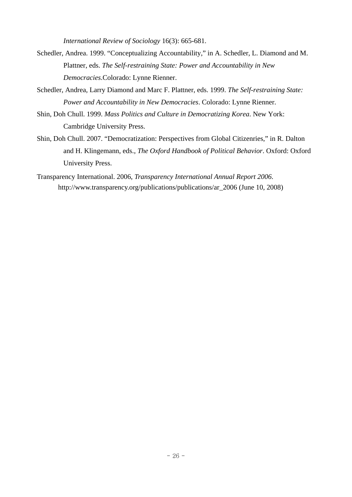*International Review of Sociology* 16(3): 665-681.

- Schedler, Andrea. 1999. "Conceptualizing Accountability," in A. Schedler, L. Diamond and M. Plattner, eds. *The Self-restraining State: Power and Accountability in New Democracies*.Colorado: Lynne Rienner.
- Schedler, Andrea, Larry Diamond and Marc F. Plattner, eds. 1999. *The Self-restraining State: Power and Accountability in New Democracies*. Colorado: Lynne Rienner.
- Shin, Doh Chull. 1999. *Mass Politics and Culture in Democratizing Korea*. New York: Cambridge University Press.
- Shin, Doh Chull. 2007. "Democratization: Perspectives from Global Citizenries," in R. Dalton and H. Klingemann, eds., *The Oxford Handbook of Political Behavior*. Oxford: Oxford University Press.
- Transparency International. 2006, *Transparency International Annual Report 2006*. http://www.transparency.org/publications/publications/ar\_2006 (June 10, 2008)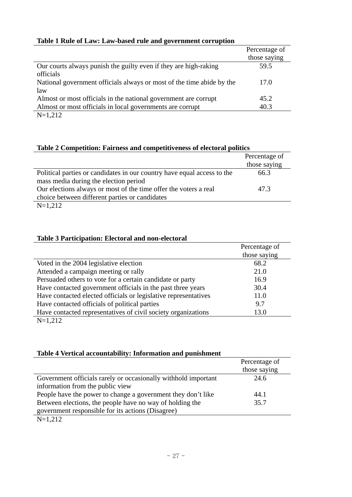| Table 1 Rule of Law: Law-based rule and government corruption |  |
|---------------------------------------------------------------|--|
|---------------------------------------------------------------|--|

|                                                                       | Percentage of |
|-----------------------------------------------------------------------|---------------|
|                                                                       | those saying  |
| Our courts always punish the guilty even if they are high-raking      | 59.5          |
| officials                                                             |               |
| National government officials always or most of the time abide by the | 17.0          |
| law                                                                   |               |
| Almost or most officials in the national government are corrupt       | 45.2          |
| Almost or most officials in local governments are corrupt             | 40.3          |
| $\mathbf{M}$ 1.010                                                    |               |

N=1,212

# **Table 2 Competition: Fairness and competitiveness of electoral politics**

|                                                                         | Percentage of |
|-------------------------------------------------------------------------|---------------|
|                                                                         | those saying  |
| Political parties or candidates in our country have equal access to the | 66.3          |
| mass media during the election period                                   |               |
| Our elections always or most of the time offer the voters a real        | 47.3          |
| choice between different parties or candidates                          |               |
| $N=1,212$                                                               |               |

# **Table 3 Participation: Electoral and non-electoral**

|                                                                 | Percentage of |
|-----------------------------------------------------------------|---------------|
|                                                                 | those saying  |
| Voted in the 2004 legislative election                          | 68.2          |
| Attended a campaign meeting or rally                            | 21.0          |
| Persuaded others to vote for a certain candidate or party       | 16.9          |
| Have contacted government officials in the past three years     | 30.4          |
| Have contacted elected officials or legislative representatives | 11.0          |
| Have contacted officials of political parties                   | 9.7           |
| Have contacted representatives of civil society organizations   | 13.0          |
| $\mathbf{M}$ 1 0 1 0                                            |               |

N=1,212

# **Table 4 Vertical accountability: Information and punishment**

|                                                                | Percentage of |
|----------------------------------------------------------------|---------------|
|                                                                | those saying  |
| Government officials rarely or occasionally withhold important | 24.6          |
| information from the public view                               |               |
| People have the power to change a government they don't like   | 44.1          |
| Between elections, the people have no way of holding the       | 35.7          |
| government responsible for its actions (Disagree)              |               |
| $\mathbf{M}$ 1.010                                             |               |

 $N=1,212$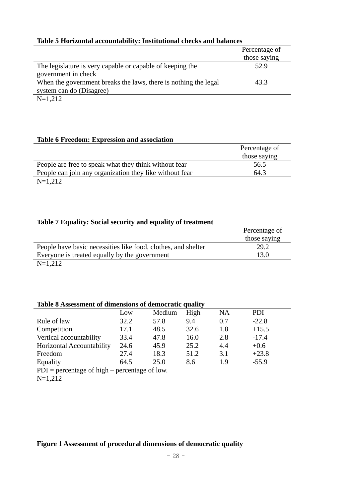| Table 3 Horizonial accountability. Histitutibilal cliccks and balances |               |  |
|------------------------------------------------------------------------|---------------|--|
|                                                                        | Percentage of |  |
|                                                                        | those saying  |  |
| The legislature is very capable or capable of keeping the              | 52.9          |  |
| government in check                                                    |               |  |
| When the government breaks the laws, there is nothing the legal        | 43.3          |  |
| system can do (Disagree)                                               |               |  |
| .                                                                      |               |  |

# **Table 5 Horizontal accountability: Institutional checks and balances**

#### N=1,212

### **Table 6 Freedom: Expression and association**

|                                                         | Percentage of |
|---------------------------------------------------------|---------------|
|                                                         | those saying  |
| People are free to speak what they think without fear   | 56.5          |
| People can join any organization they like without fear | 64.3          |
| $N=1,212$                                               |               |

# **Table 7 Equality: Social security and equality of treatment**

|                                                               | Percentage of |
|---------------------------------------------------------------|---------------|
|                                                               | those saying  |
| People have basic necessities like food, clothes, and shelter | 29.2          |
| Everyone is treated equally by the government                 | 13.0          |
| $\mathbf{M}$ 1.010                                            |               |

 $N=1,212$ 

# **Table 8 Assessment of dimensions of democratic quality**

|                           | Low  | Medium | High | NA  | <b>PDI</b> |
|---------------------------|------|--------|------|-----|------------|
| Rule of law               | 32.2 | 57.8   | 9.4  | 0.7 | $-22.8$    |
| Competition               | 17.1 | 48.5   | 32.6 | 1.8 | $+15.5$    |
| Vertical accountability   | 33.4 | 47.8   | 16.0 | 2.8 | $-17.4$    |
| Horizontal Accountability | 24.6 | 45.9   | 25.2 | 4.4 | $+0.6$     |
| Freedom                   | 27.4 | 18.3   | 51.2 | 3.1 | $+23.8$    |
| Equality                  | 64.5 | 25.0   | 8.6  | 19  | $-55.9$    |

 $PDI =$  percentage of high – percentage of low.

N=1,212

# **Figure 1 Assessment of procedural dimensions of democratic quality**